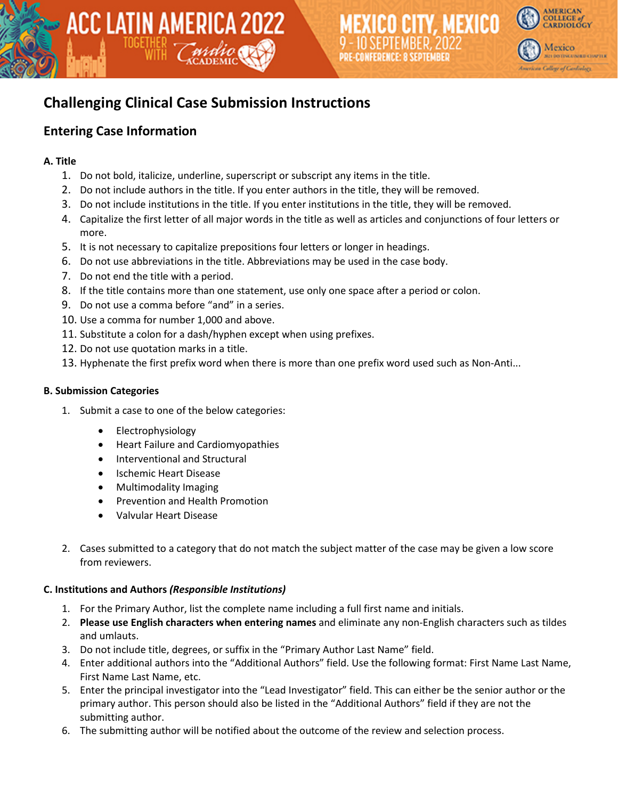

# **Challenging Clinical Case Submission Instructions**

ACC LATIN AMERICA 2022

## **Entering Case Information**

### **A. Title**

- 1. Do not bold, italicize, underline, superscript or subscript any items in the title.
- 2. Do not include authors in the title. If you enter authors in the title, they will be removed.
- 3. Do not include institutions in the title. If you enter institutions in the title, they will be removed.
- 4. Capitalize the first letter of all major words in the title as well as articles and conjunctions of four letters or more.
- 5. It is not necessary to capitalize prepositions four letters or longer in headings.
- 6. Do not use abbreviations in the title. Abbreviations may be used in the case body.
- 7. Do not end the title with a period.
- 8. If the title contains more than one statement, use only one space after a period or colon.
- 9. Do not use a comma before "and" in a series.
- 10. Use a comma for number 1,000 and above.
- 11. Substitute a colon for a dash/hyphen except when using prefixes.
- 12. Do not use quotation marks in a title.
- 13. Hyphenate the first prefix word when there is more than one prefix word used such as Non-Anti...

### **B. Submission Categories**

- 1. Submit a case to one of the below categories:
	- Electrophysiology
	- Heart Failure and Cardiomyopathies
	- Interventional and Structural
	- Ischemic Heart Disease
	- Multimodality Imaging
	- Prevention and Health Promotion
	- Valvular Heart Disease
- 2. Cases submitted to a category that do not match the subject matter of the case may be given a low score from reviewers.

### **C. Institutions and Authors** *(Responsible Institutions)*

- 1. For the Primary Author, list the complete name including a full first name and initials.
- 2. **Please use English characters when entering names** and eliminate any non-English characters such as tildes and umlauts.
- 3. Do not include title, degrees, or suffix in the "Primary Author Last Name" field.
- 4. Enter additional authors into the "Additional Authors" field. Use the following format: First Name Last Name, First Name Last Name, etc.
- 5. Enter the principal investigator into the "Lead Investigator" field. This can either be the senior author or the primary author. This person should also be listed in the "Additional Authors" field if they are not the submitting author.
- 6. The submitting author will be notified about the outcome of the review and selection process.